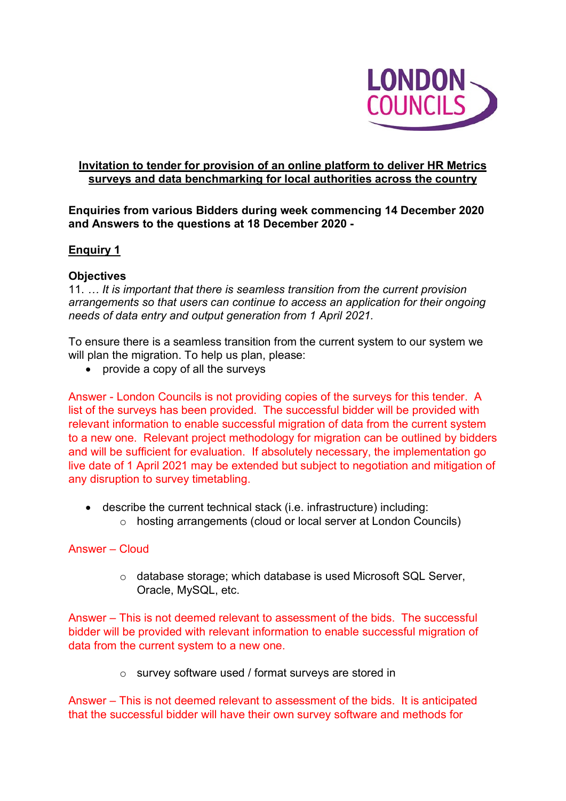

## **Invitation to tender for provision of an online platform to deliver HR Metrics surveys and data benchmarking for local authorities across the country**

## **Enquiries from various Bidders during week commencing 14 December 2020 and Answers to the questions at 18 December 2020 -**

## **Enquiry 1**

## **Objectives**

11. *… It is important that there is seamless transition from the current provision arrangements so that users can continue to access an application for their ongoing needs of data entry and output generation from 1 April 2021.*

To ensure there is a seamless transition from the current system to our system we will plan the migration. To help us plan, please:

• provide a copy of all the surveys

Answer - London Councils is not providing copies of the surveys for this tender. A list of the surveys has been provided. The successful bidder will be provided with relevant information to enable successful migration of data from the current system to a new one. Relevant project methodology for migration can be outlined by bidders and will be sufficient for evaluation. If absolutely necessary, the implementation go live date of 1 April 2021 may be extended but subject to negotiation and mitigation of any disruption to survey timetabling.

- describe the current technical stack (i.e. infrastructure) including:
	- o hosting arrangements (cloud or local server at London Councils)

## Answer – Cloud

o database storage; which database is used Microsoft SQL Server, Oracle, MySQL, etc.

Answer – This is not deemed relevant to assessment of the bids. The successful bidder will be provided with relevant information to enable successful migration of data from the current system to a new one.

o survey software used / format surveys are stored in

Answer – This is not deemed relevant to assessment of the bids. It is anticipated that the successful bidder will have their own survey software and methods for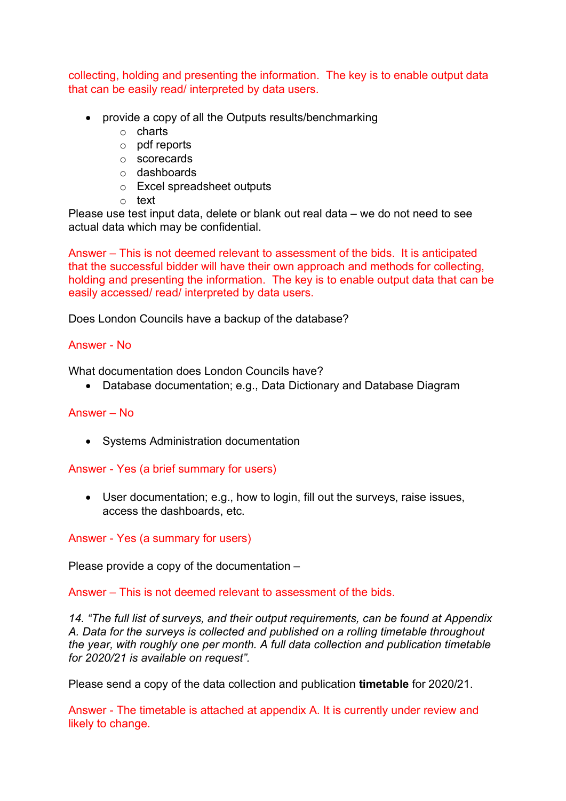collecting, holding and presenting the information. The key is to enable output data that can be easily read/ interpreted by data users.

- provide a copy of all the Outputs results/benchmarking
	- o charts
	- o pdf reports
	- o scorecards
	- o dashboards
	- o Excel spreadsheet outputs
	- o text

Please use test input data, delete or blank out real data – we do not need to see actual data which may be confidential.

Answer – This is not deemed relevant to assessment of the bids. It is anticipated that the successful bidder will have their own approach and methods for collecting, holding and presenting the information. The key is to enable output data that can be easily accessed/ read/ interpreted by data users.

Does London Councils have a backup of the database?

## Answer - No

What documentation does London Councils have?

• Database documentation; e.g., Data Dictionary and Database Diagram

## Answer – No

• Systems Administration documentation

Answer - Yes (a brief summary for users)

• User documentation; e.g., how to login, fill out the surveys, raise issues, access the dashboards, etc.

Answer - Yes (a summary for users)

Please provide a copy of the documentation –

Answer – This is not deemed relevant to assessment of the bids.

*14. "The full list of surveys, and their output requirements, can be found at Appendix A. Data for the surveys is collected and published on a rolling timetable throughout the year, with roughly one per month. A full data collection and publication timetable for 2020/21 is available on request".*

Please send a copy of the data collection and publication **timetable** for 2020/21.

Answer - The timetable is attached at appendix A. It is currently under review and likely to change.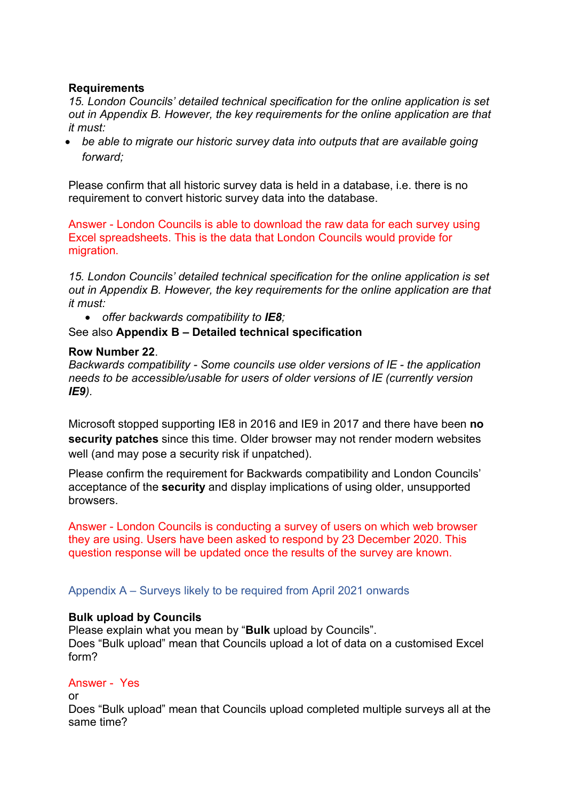## **Requirements**

*15. London Councils' detailed technical specification for the online application is set out in Appendix B. However, the key requirements for the online application are that it must:*

• *be able to migrate our historic survey data into outputs that are available going forward;*

Please confirm that all historic survey data is held in a database, i.e. there is no requirement to convert historic survey data into the database.

Answer - London Councils is able to download the raw data for each survey using Excel spreadsheets. This is the data that London Councils would provide for migration.

*15. London Councils' detailed technical specification for the online application is set out in Appendix B. However, the key requirements for the online application are that it must:*

• *offer backwards compatibility to IE8;* 

## See also **Appendix B – Detailed technical specification**

### **Row Number 22**.

*Backwards compatibility - Some councils use older versions of IE - the application needs to be accessible/usable for users of older versions of IE (currently version IE9).* 

Microsoft stopped supporting IE8 in 2016 and IE9 in 2017 and there have been **no security patches** since this time. Older browser may not render modern websites well (and may pose a security risk if unpatched).

Please confirm the requirement for Backwards compatibility and London Councils' acceptance of the **security** and display implications of using older, unsupported browsers.

Answer - London Councils is conducting a survey of users on which web browser they are using. Users have been asked to respond by 23 December 2020. This question response will be updated once the results of the survey are known.

Appendix A – Surveys likely to be required from April 2021 onwards

## **Bulk upload by Councils**

Please explain what you mean by "**Bulk** upload by Councils". Does "Bulk upload" mean that Councils upload a lot of data on a customised Excel form?

## Answer - Yes

or

Does "Bulk upload" mean that Councils upload completed multiple surveys all at the same time?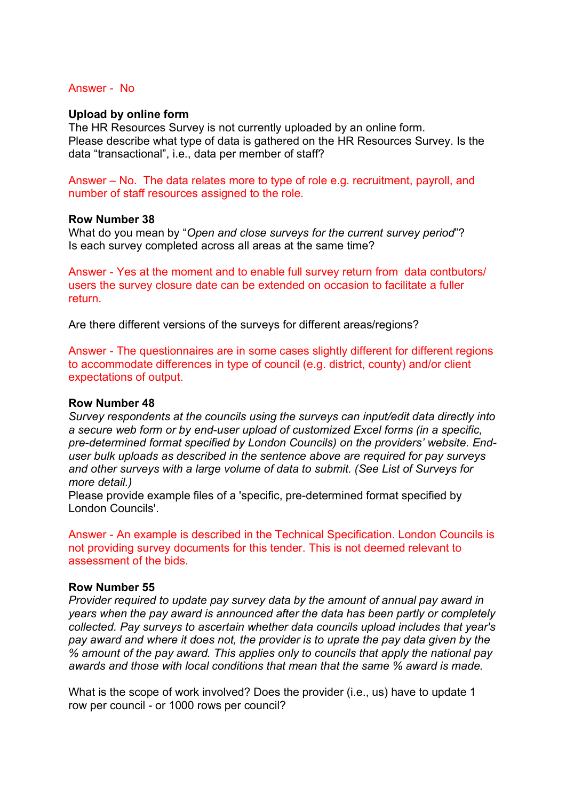#### Answer - No

#### **Upload by online form**

The HR Resources Survey is not currently uploaded by an online form. Please describe what type of data is gathered on the HR Resources Survey. Is the data "transactional", i.e., data per member of staff?

Answer – No. The data relates more to type of role e.g. recruitment, payroll, and number of staff resources assigned to the role.

#### **Row Number 38**

What do you mean by "*Open and close surveys for the current survey period*"? Is each survey completed across all areas at the same time?

Answer - Yes at the moment and to enable full survey return from data contbutors/ users the survey closure date can be extended on occasion to facilitate a fuller return.

Are there different versions of the surveys for different areas/regions?

Answer - The questionnaires are in some cases slightly different for different regions to accommodate differences in type of council (e.g. district, county) and/or client expectations of output.

#### **Row Number 48**

*Survey respondents at the councils using the surveys can input/edit data directly into a secure web form or by end-user upload of customized Excel forms (in a specific, pre-determined format specified by London Councils) on the providers' website. Enduser bulk uploads as described in the sentence above are required for pay surveys and other surveys with a large volume of data to submit. (See List of Surveys for more detail.)*

Please provide example files of a 'specific, pre-determined format specified by London Councils'.

Answer - An example is described in the Technical Specification. London Councils is not providing survey documents for this tender. This is not deemed relevant to assessment of the bids.

#### **Row Number 55**

*Provider required to update pay survey data by the amount of annual pay award in years when the pay award is announced after the data has been partly or completely collected. Pay surveys to ascertain whether data councils upload includes that year's pay award and where it does not, the provider is to uprate the pay data given by the % amount of the pay award. This applies only to councils that apply the national pay awards and those with local conditions that mean that the same % award is made.*

What is the scope of work involved? Does the provider (i.e., us) have to update 1 row per council - or 1000 rows per council?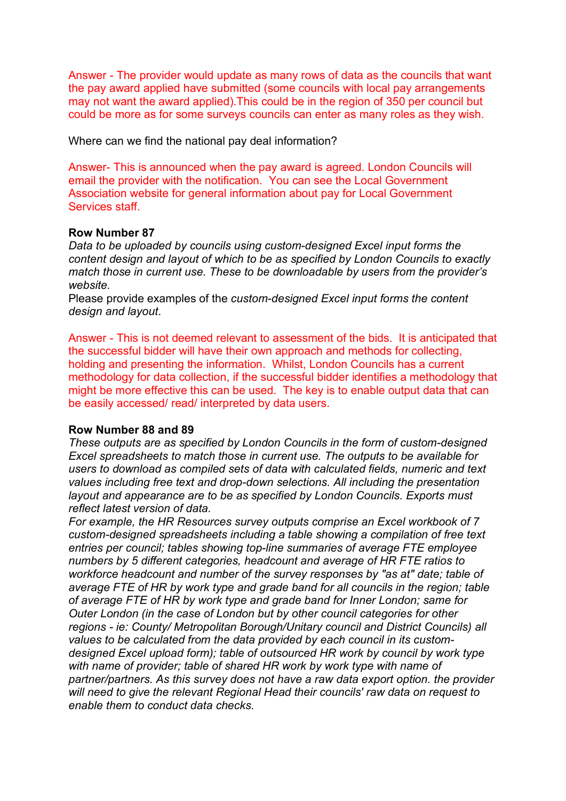Answer - The provider would update as many rows of data as the councils that want the pay award applied have submitted (some councils with local pay arrangements may not want the award applied).This could be in the region of 350 per council but could be more as for some surveys councils can enter as many roles as they wish.

Where can we find the national pay deal information?

Answer- This is announced when the pay award is agreed. London Councils will email the provider with the notification. You can see the Local Government Association website for general information about pay for Local Government Services staff.

## **Row Number 87**

*Data to be uploaded by councils using custom-designed Excel input forms the content design and layout of which to be as specified by London Councils to exactly match those in current use. These to be downloadable by users from the provider's website.*

Please provide examples of the *custom-designed Excel input forms the content design and layout*.

Answer - This is not deemed relevant to assessment of the bids. It is anticipated that the successful bidder will have their own approach and methods for collecting, holding and presenting the information. Whilst, London Councils has a current methodology for data collection, if the successful bidder identifies a methodology that might be more effective this can be used. The key is to enable output data that can be easily accessed/ read/ interpreted by data users.

## **Row Number 88 and 89**

*These outputs are as specified by London Councils in the form of custom-designed Excel spreadsheets to match those in current use. The outputs to be available for users to download as compiled sets of data with calculated fields, numeric and text values including free text and drop-down selections. All including the presentation layout and appearance are to be as specified by London Councils. Exports must reflect latest version of data.*

*For example, the HR Resources survey outputs comprise an Excel workbook of 7 custom-designed spreadsheets including a table showing a compilation of free text entries per council; tables showing top-line summaries of average FTE employee numbers by 5 different categories, headcount and average of HR FTE ratios to workforce headcount and number of the survey responses by "as at" date; table of average FTE of HR by work type and grade band for all councils in the region; table of average FTE of HR by work type and grade band for Inner London; same for Outer London (in the case of London but by other council categories for other regions - ie: County/ Metropolitan Borough/Unitary council and District Councils) all values to be calculated from the data provided by each council in its customdesigned Excel upload form); table of outsourced HR work by council by work type with name of provider; table of shared HR work by work type with name of partner/partners. As this survey does not have a raw data export option. the provider will need to give the relevant Regional Head their councils' raw data on request to enable them to conduct data checks.*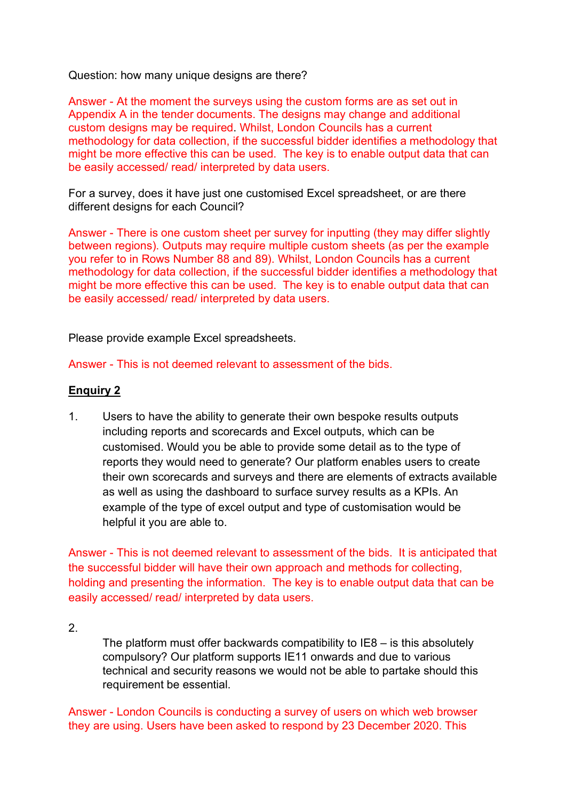Question: how many unique designs are there?

Answer - At the moment the surveys using the custom forms are as set out in Appendix A in the tender documents. The designs may change and additional custom designs may be required. Whilst, London Councils has a current methodology for data collection, if the successful bidder identifies a methodology that might be more effective this can be used. The key is to enable output data that can be easily accessed/ read/ interpreted by data users.

For a survey, does it have just one customised Excel spreadsheet, or are there different designs for each Council?

Answer - There is one custom sheet per survey for inputting (they may differ slightly between regions). Outputs may require multiple custom sheets (as per the example you refer to in Rows Number 88 and 89). Whilst, London Councils has a current methodology for data collection, if the successful bidder identifies a methodology that might be more effective this can be used. The key is to enable output data that can be easily accessed/ read/ interpreted by data users.

Please provide example Excel spreadsheets.

Answer - This is not deemed relevant to assessment of the bids.

## **Enquiry 2**

1. Users to have the ability to generate their own bespoke results outputs including reports and scorecards and Excel outputs, which can be customised. Would you be able to provide some detail as to the type of reports they would need to generate? Our platform enables users to create their own scorecards and surveys and there are elements of extracts available as well as using the dashboard to surface survey results as a KPIs. An example of the type of excel output and type of customisation would be helpful it you are able to.

Answer - This is not deemed relevant to assessment of the bids. It is anticipated that the successful bidder will have their own approach and methods for collecting, holding and presenting the information. The key is to enable output data that can be easily accessed/ read/ interpreted by data users.

2.

The platform must offer backwards compatibility to IE8 – is this absolutely compulsory? Our platform supports IE11 onwards and due to various technical and security reasons we would not be able to partake should this requirement be essential.

Answer - London Councils is conducting a survey of users on which web browser they are using. Users have been asked to respond by 23 December 2020. This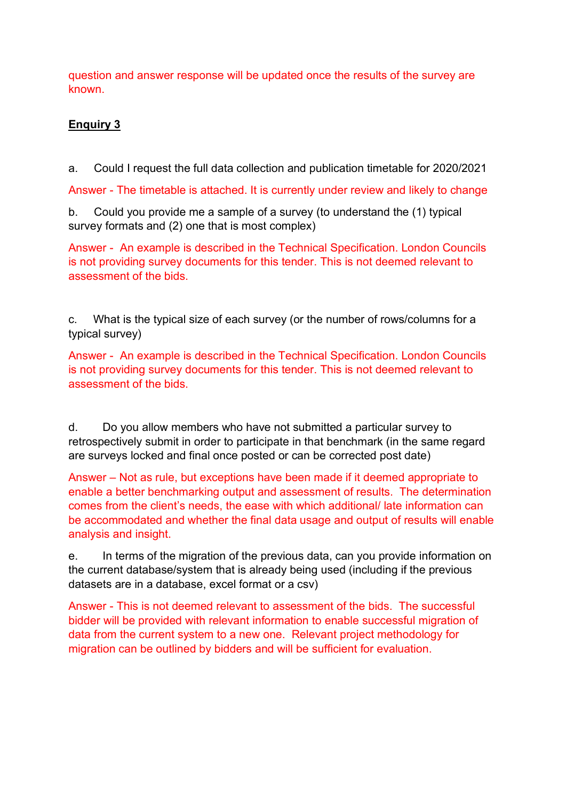question and answer response will be updated once the results of the survey are known.

## **Enquiry 3**

a. Could I request the full data collection and publication timetable for 2020/2021

Answer - The timetable is attached. It is currently under review and likely to change

b. Could you provide me a sample of a survey (to understand the (1) typical survey formats and (2) one that is most complex)

Answer - An example is described in the Technical Specification. London Councils is not providing survey documents for this tender. This is not deemed relevant to assessment of the bids.

c. What is the typical size of each survey (or the number of rows/columns for a typical survey)

Answer - An example is described in the Technical Specification. London Councils is not providing survey documents for this tender. This is not deemed relevant to assessment of the bids.

d. Do you allow members who have not submitted a particular survey to retrospectively submit in order to participate in that benchmark (in the same regard are surveys locked and final once posted or can be corrected post date)

Answer – Not as rule, but exceptions have been made if it deemed appropriate to enable a better benchmarking output and assessment of results. The determination comes from the client's needs, the ease with which additional/ late information can be accommodated and whether the final data usage and output of results will enable analysis and insight.

e. In terms of the migration of the previous data, can you provide information on the current database/system that is already being used (including if the previous datasets are in a database, excel format or a csv)

Answer - This is not deemed relevant to assessment of the bids. The successful bidder will be provided with relevant information to enable successful migration of data from the current system to a new one. Relevant project methodology for migration can be outlined by bidders and will be sufficient for evaluation.